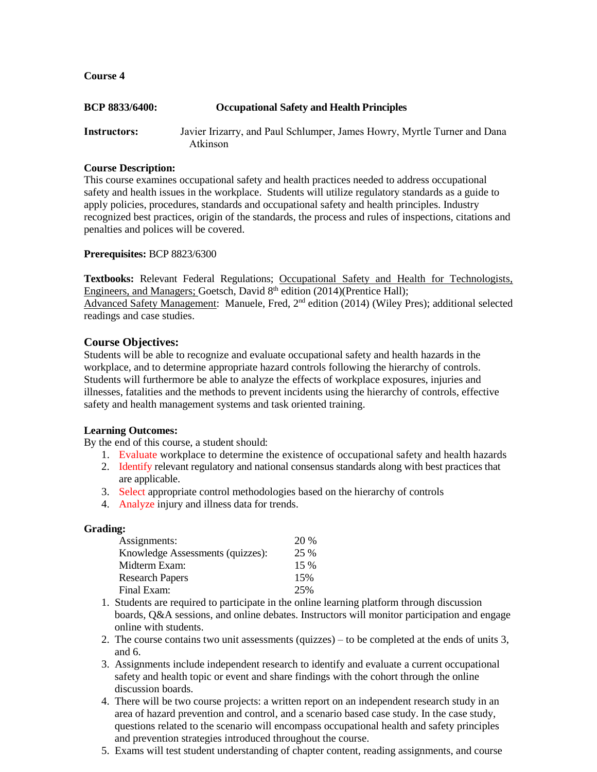**Course 4**

| <b>BCP 8833/6400:</b> | <b>Occupational Safety and Health Principles</b>                                     |
|-----------------------|--------------------------------------------------------------------------------------|
| Instructors:          | Javier Irizarry, and Paul Schlumper, James Howry, Myrtle Turner and Dana<br>Atkinson |

#### **Course Description:**

This course examines occupational safety and health practices needed to address occupational safety and health issues in the workplace. Students will utilize regulatory standards as a guide to apply policies, procedures, standards and occupational safety and health principles. Industry recognized best practices, origin of the standards, the process and rules of inspections, citations and penalties and polices will be covered.

**Prerequisites:** BCP 8823/6300

**Textbooks:** Relevant Federal Regulations; Occupational Safety and Health for Technologists, Engineers, and Managers; Goetsch, David 8<sup>th</sup> edition (2014)(Prentice Hall); Advanced Safety Management: Manuele, Fred, 2<sup>nd</sup> edition (2014) (Wiley Pres); additional selected readings and case studies.

# **Course Objectives:**

Students will be able to recognize and evaluate occupational safety and health hazards in the workplace, and to determine appropriate hazard controls following the hierarchy of controls. Students will furthermore be able to analyze the effects of workplace exposures, injuries and illnesses, fatalities and the methods to prevent incidents using the hierarchy of controls, effective safety and health management systems and task oriented training.

# **Learning Outcomes:**

By the end of this course, a student should:

- 1. Evaluate workplace to determine the existence of occupational safety and health hazards
- 2. Identify relevant regulatory and national consensus standards along with best practices that are applicable.
- 3. Select appropriate control methodologies based on the hierarchy of controls
- 4. Analyze injury and illness data for trends.

# **Grading:**

| Assignments:                     | 20 %   |
|----------------------------------|--------|
| Knowledge Assessments (quizzes): | 25 %   |
| Midterm Exam:                    | $15\%$ |
| <b>Research Papers</b>           | 15%    |
| Final Exam:                      | 25%    |

- 1. Students are required to participate in the online learning platform through discussion boards, Q&A sessions, and online debates. Instructors will monitor participation and engage online with students.
- 2. The course contains two unit assessments (quizzes) to be completed at the ends of units 3, and 6.
- 3. Assignments include independent research to identify and evaluate a current occupational safety and health topic or event and share findings with the cohort through the online discussion boards.
- 4. There will be two course projects: a written report on an independent research study in an area of hazard prevention and control, and a scenario based case study. In the case study, questions related to the scenario will encompass occupational health and safety principles and prevention strategies introduced throughout the course.
- 5. Exams will test student understanding of chapter content, reading assignments, and course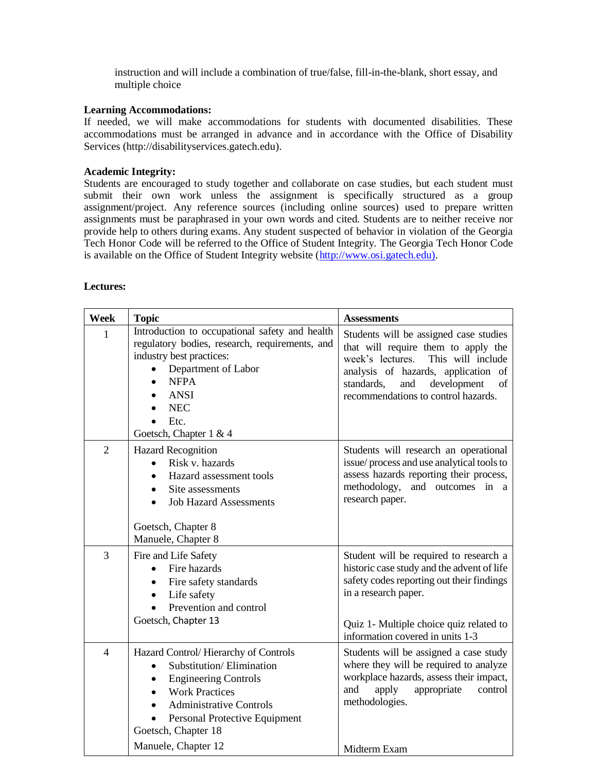instruction and will include a combination of true/false, fill-in-the-blank, short essay, and multiple choice

#### **Learning Accommodations:**

If needed, we will make accommodations for students with documented disabilities. These accommodations must be arranged in advance and in accordance with the Office of Disability Services (http://disabilityservices.gatech.edu).

#### **Academic Integrity:**

Students are encouraged to study together and collaborate on case studies, but each student must submit their own work unless the assignment is specifically structured as a group assignment/project. Any reference sources (including online sources) used to prepare written assignments must be paraphrased in your own words and cited. Students are to neither receive nor provide help to others during exams. Any student suspected of behavior in violation of the Georgia Tech Honor Code will be referred to the Office of Student Integrity. The Georgia Tech Honor Code is available on the Office of Student Integrity website [\(http://www.osi.gatech.edu\).](http://www.osi.gatech.edu)/)

# **Lectures:**

| <b>Week</b>    | <b>Topic</b>                                                                                                                                                                                                                              | <b>Assessments</b>                                                                                                                                                                                                                             |
|----------------|-------------------------------------------------------------------------------------------------------------------------------------------------------------------------------------------------------------------------------------------|------------------------------------------------------------------------------------------------------------------------------------------------------------------------------------------------------------------------------------------------|
| 1              | Introduction to occupational safety and health<br>regulatory bodies, research, requirements, and<br>industry best practices:<br>Department of Labor<br><b>NFPA</b><br><b>ANSI</b><br><b>NEC</b><br>Etc.<br>Goetsch, Chapter 1 & 4         | Students will be assigned case studies<br>that will require them to apply the<br>This will include<br>week's lectures.<br>analysis of hazards, application of<br>standards,<br>development<br>and<br>of<br>recommendations to control hazards. |
| $\overline{2}$ | <b>Hazard Recognition</b><br>Risk v. hazards<br>$\bullet$<br>Hazard assessment tools<br>Site assessments<br>$\bullet$<br><b>Job Hazard Assessments</b><br>Goetsch, Chapter 8<br>Manuele, Chapter 8                                        | Students will research an operational<br>issue/process and use analytical tools to<br>assess hazards reporting their process,<br>methodology, and outcomes in a<br>research paper.                                                             |
| 3              | Fire and Life Safety<br>Fire hazards<br>$\bullet$<br>Fire safety standards<br>$\bullet$<br>Life safety<br>$\bullet$<br>Prevention and control<br>Goetsch, Chapter 13                                                                      | Student will be required to research a<br>historic case study and the advent of life<br>safety codes reporting out their findings<br>in a research paper.<br>Quiz 1- Multiple choice quiz related to<br>information covered in units 1-3       |
| $\overline{4}$ | Hazard Control/Hierarchy of Controls<br>Substitution/Elimination<br><b>Engineering Controls</b><br><b>Work Practices</b><br><b>Administrative Controls</b><br>Personal Protective Equipment<br>Goetsch, Chapter 18<br>Manuele, Chapter 12 | Students will be assigned a case study<br>where they will be required to analyze<br>workplace hazards, assess their impact,<br>apply<br>appropriate<br>and<br>control<br>methodologies.<br>Midterm Exam                                        |